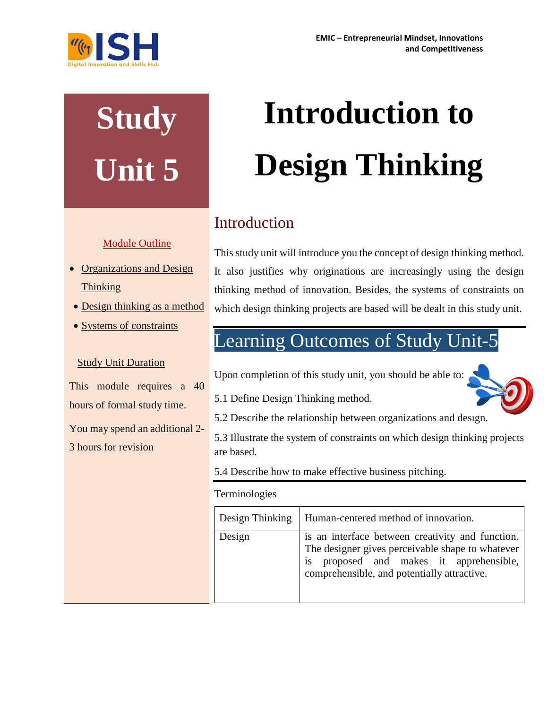

# **Study Unit 5**

### Module Outline

- Organizations and Design Thinking
- Design thinking as a method
- Systems of constraints

### Study Unit Duration

This module requires a 40 hours of formal study time.

You may spend an additional 2- 3 hours for revision

# **Introduction to Design Thinking**

## Introduction

This study unit will introduce you the concept of design thinking method. It also justifies why originations are increasingly using the design thinking method of innovation. Besides, the systems of constraints on which design thinking projects are based will be dealt in this study unit.

## Learning Outcomes of Study Unit-5

Upon completion of this study unit, you should be able to:



- 5.1 Define Design Thinking method.
- 5.2 Describe the relationship between organizations and design.

5.3 Illustrate the system of constraints on which design thinking projects are based.

5.4 Describe how to make effective business pitching.

#### Terminologies

| Design Thinking | Human-centered method of innovation.                                                                                                                                                              |
|-----------------|---------------------------------------------------------------------------------------------------------------------------------------------------------------------------------------------------|
| Design          | is an interface between creativity and function.<br>The designer gives perceivable shape to whatever<br>proposed and makes it apprehensible,<br>is<br>comprehensible, and potentially attractive. |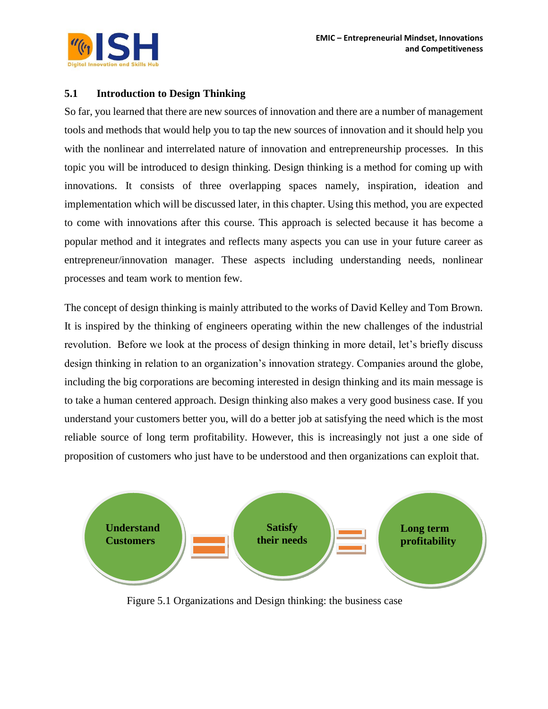

#### **5.1 Introduction to Design Thinking**

So far, you learned that there are new sources of innovation and there are a number of management tools and methods that would help you to tap the new sources of innovation and it should help you with the nonlinear and interrelated nature of innovation and entrepreneurship processes. In this topic you will be introduced to design thinking. Design thinking is a method for coming up with innovations. It consists of three overlapping spaces namely, inspiration, ideation and implementation which will be discussed later, in this chapter. Using this method, you are expected to come with innovations after this course. This approach is selected because it has become a popular method and it integrates and reflects many aspects you can use in your future career as entrepreneur/innovation manager. These aspects including understanding needs, nonlinear processes and team work to mention few.

The concept of design thinking is mainly attributed to the works of David Kelley and Tom Brown. It is inspired by the thinking of engineers operating within the new challenges of the industrial revolution. Before we look at the process of design thinking in more detail, let's briefly discuss design thinking in relation to an organization's innovation strategy. Companies around the globe, including the big corporations are becoming interested in design thinking and its main message is to take a human centered approach. Design thinking also makes a very good business case. If you understand your customers better you, will do a better job at satisfying the need which is the most reliable source of long term profitability. However, this is increasingly not just a one side of proposition of customers who just have to be understood and then organizations can exploit that.



Figure 5.1 Organizations and Design thinking: the business case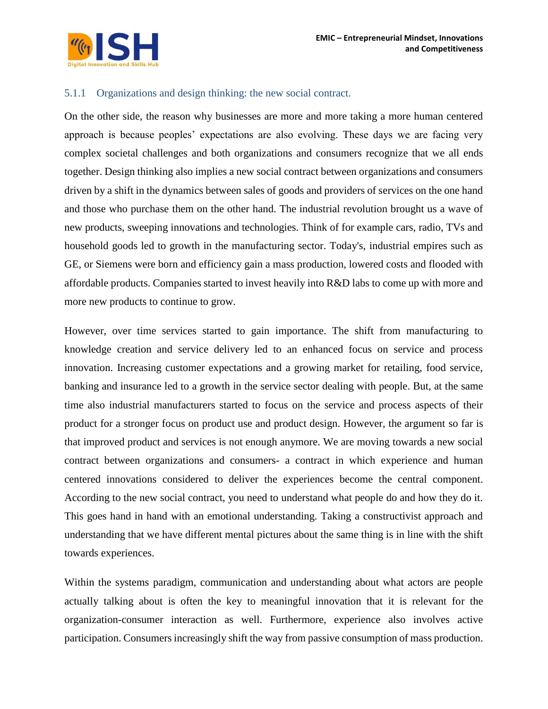

#### 5.1.1 Organizations and design thinking: the new social contract.

On the other side, the reason why businesses are more and more taking a more human centered approach is because peoples' expectations are also evolving. These days we are facing very complex societal challenges and both organizations and consumers recognize that we all ends together. Design thinking also implies a new social contract between organizations and consumers driven by a shift in the dynamics between sales of goods and providers of services on the one hand and those who purchase them on the other hand. The industrial revolution brought us a wave of new products, sweeping innovations and technologies. Think of for example cars, radio, TVs and household goods led to growth in the manufacturing sector. Today's, industrial empires such as GE, or Siemens were born and efficiency gain a mass production, lowered costs and flooded with affordable products. Companies started to invest heavily into R&D labs to come up with more and more new products to continue to grow.

However, over time services started to gain importance. The shift from manufacturing to knowledge creation and service delivery led to an enhanced focus on service and process innovation. Increasing customer expectations and a growing market for retailing, food service, banking and insurance led to a growth in the service sector dealing with people. But, at the same time also industrial manufacturers started to focus on the service and process aspects of their product for a stronger focus on product use and product design. However, the argument so far is that improved product and services is not enough anymore. We are moving towards a new social contract between organizations and consumers- a contract in which experience and human centered innovations considered to deliver the experiences become the central component. According to the new social contract, you need to understand what people do and how they do it. This goes hand in hand with an emotional understanding. Taking a constructivist approach and understanding that we have different mental pictures about the same thing is in line with the shift towards experiences.

Within the systems paradigm, communication and understanding about what actors are people actually talking about is often the key to meaningful innovation that it is relevant for the organization-consumer interaction as well. Furthermore, experience also involves active participation. Consumers increasingly shift the way from passive consumption of mass production.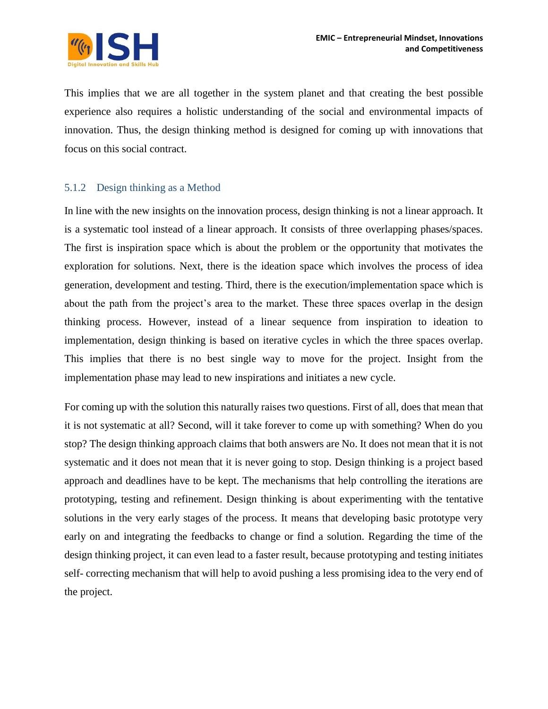

This implies that we are all together in the system planet and that creating the best possible experience also requires a holistic understanding of the social and environmental impacts of innovation. Thus, the design thinking method is designed for coming up with innovations that focus on this social contract.

#### 5.1.2 Design thinking as a Method

In line with the new insights on the innovation process, design thinking is not a linear approach. It is a systematic tool instead of a linear approach. It consists of three overlapping phases/spaces. The first is inspiration space which is about the problem or the opportunity that motivates the exploration for solutions. Next, there is the ideation space which involves the process of idea generation, development and testing. Third, there is the execution/implementation space which is about the path from the project's area to the market. These three spaces overlap in the design thinking process. However, instead of a linear sequence from inspiration to ideation to implementation, design thinking is based on iterative cycles in which the three spaces overlap. This implies that there is no best single way to move for the project. Insight from the implementation phase may lead to new inspirations and initiates a new cycle.

For coming up with the solution this naturally raises two questions. First of all, does that mean that it is not systematic at all? Second, will it take forever to come up with something? When do you stop? The design thinking approach claims that both answers are No. It does not mean that it is not systematic and it does not mean that it is never going to stop. Design thinking is a project based approach and deadlines have to be kept. The mechanisms that help controlling the iterations are prototyping, testing and refinement. Design thinking is about experimenting with the tentative solutions in the very early stages of the process. It means that developing basic prototype very early on and integrating the feedbacks to change or find a solution. Regarding the time of the design thinking project, it can even lead to a faster result, because prototyping and testing initiates self- correcting mechanism that will help to avoid pushing a less promising idea to the very end of the project.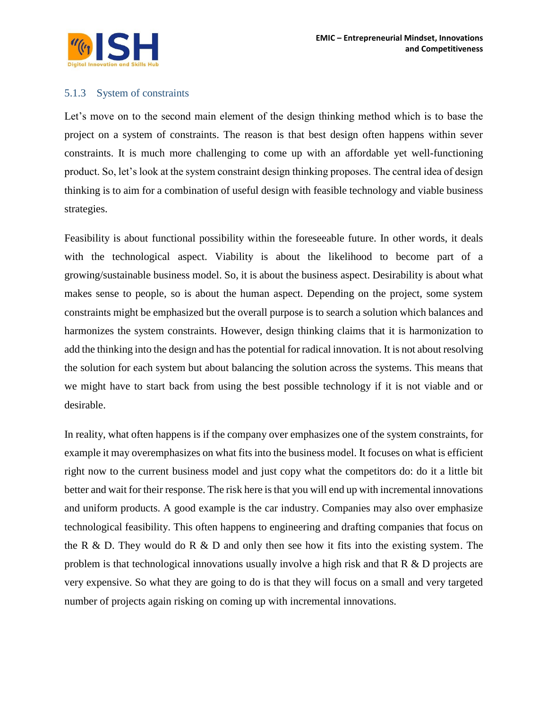

#### 5.1.3 System of constraints

Let's move on to the second main element of the design thinking method which is to base the project on a system of constraints. The reason is that best design often happens within sever constraints. It is much more challenging to come up with an affordable yet well-functioning product. So, let's look at the system constraint design thinking proposes. The central idea of design thinking is to aim for a combination of useful design with feasible technology and viable business strategies.

Feasibility is about functional possibility within the foreseeable future. In other words, it deals with the technological aspect. Viability is about the likelihood to become part of a growing/sustainable business model. So, it is about the business aspect. Desirability is about what makes sense to people, so is about the human aspect. Depending on the project, some system constraints might be emphasized but the overall purpose is to search a solution which balances and harmonizes the system constraints. However, design thinking claims that it is harmonization to add the thinking into the design and has the potential for radical innovation. It is not about resolving the solution for each system but about balancing the solution across the systems. This means that we might have to start back from using the best possible technology if it is not viable and or desirable.

In reality, what often happens is if the company over emphasizes one of the system constraints, for example it may overemphasizes on what fits into the business model. It focuses on what is efficient right now to the current business model and just copy what the competitors do: do it a little bit better and wait for their response. The risk here is that you will end up with incremental innovations and uniform products. A good example is the car industry. Companies may also over emphasize technological feasibility. This often happens to engineering and drafting companies that focus on the R & D. They would do R & D and only then see how it fits into the existing system. The problem is that technological innovations usually involve a high risk and that R & D projects are very expensive. So what they are going to do is that they will focus on a small and very targeted number of projects again risking on coming up with incremental innovations.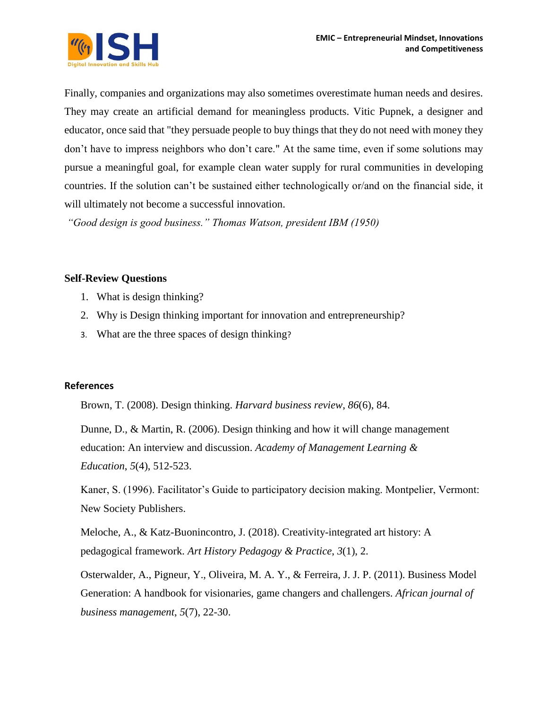

Finally, companies and organizations may also sometimes overestimate human needs and desires. They may create an artificial demand for meaningless products. Vitic Pupnek, a designer and educator, once said that "they persuade people to buy things that they do not need with money they don't have to impress neighbors who don't care." At the same time, even if some solutions may pursue a meaningful goal, for example clean water supply for rural communities in developing countries. If the solution can't be sustained either technologically or/and on the financial side, it will ultimately not become a successful innovation.

*"Good design is good business." Thomas Watson, president IBM (1950)* 

#### **Self-Review Questions**

- 1. What is design thinking?
- 2. Why is Design thinking important for innovation and entrepreneurship?
- 3. What are the three spaces of design thinking?

#### **References**

Brown, T. (2008). Design thinking. *Harvard business review*, *86*(6), 84.

Dunne, D., & Martin, R. (2006). Design thinking and how it will change management education: An interview and discussion. *Academy of Management Learning & Education*, *5*(4), 512-523.

Kaner, S. (1996). Facilitator's Guide to participatory decision making. Montpelier, Vermont: New Society Publishers.

Meloche, A., & Katz-Buonincontro, J. (2018). Creativity-integrated art history: A pedagogical framework. *Art History Pedagogy & Practice*, *3*(1), 2.

Osterwalder, A., Pigneur, Y., Oliveira, M. A. Y., & Ferreira, J. J. P. (2011). Business Model Generation: A handbook for visionaries, game changers and challengers. *African journal of business management*, *5*(7), 22-30.